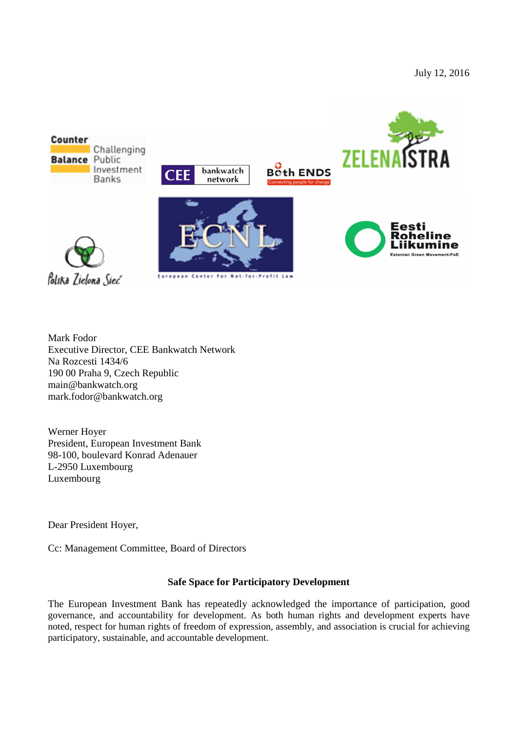July 12, 2016



Mark Fodor Executive Director, CEE Bankwatch Network Na Rozcesti 1434/6 190 00 Praha 9, Czech Republic main@bankwatch.org mark.fodor@bankwatch.org

Werner Hoyer President, European Investment Bank 98-100, boulevard Konrad Adenauer L-2950 Luxembourg Luxembourg

Dear President Hoyer,

Cc: Management Committee, Board of Directors

## **Safe Space for Participatory Development**

The European Investment Bank has repeatedly acknowledged the importance of participation, good governance, and accountability for development. As both human rights and development experts have noted, respect for human rights of freedom of expression, assembly, and association is crucial for achieving participatory, sustainable, and accountable development.